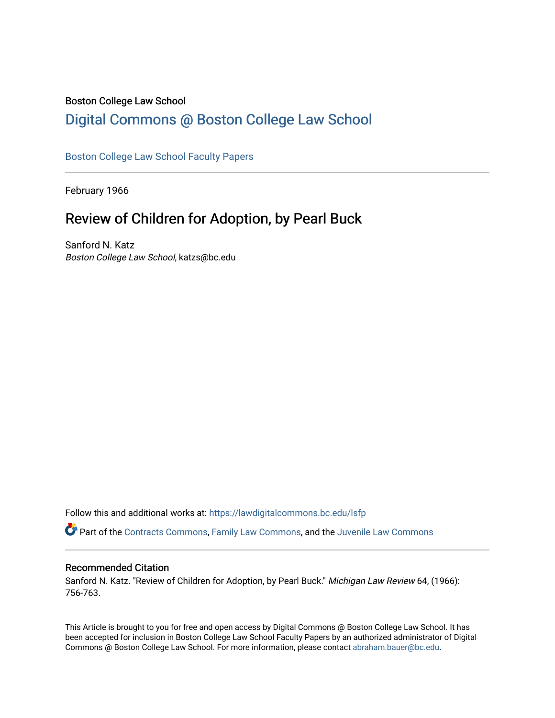### Boston College Law School

## [Digital Commons @ Boston College Law School](https://lawdigitalcommons.bc.edu/)

### [Boston College Law School Faculty Papers](https://lawdigitalcommons.bc.edu/lsfp)

February 1966

# Review of Children for Adoption, by Pearl Buck

Sanford N. Katz Boston College Law School, katzs@bc.edu

Follow this and additional works at: [https://lawdigitalcommons.bc.edu/lsfp](https://lawdigitalcommons.bc.edu/lsfp?utm_source=lawdigitalcommons.bc.edu%2Flsfp%2F566&utm_medium=PDF&utm_campaign=PDFCoverPages) 

Part of the [Contracts Commons](http://network.bepress.com/hgg/discipline/591?utm_source=lawdigitalcommons.bc.edu%2Flsfp%2F566&utm_medium=PDF&utm_campaign=PDFCoverPages), [Family Law Commons](http://network.bepress.com/hgg/discipline/602?utm_source=lawdigitalcommons.bc.edu%2Flsfp%2F566&utm_medium=PDF&utm_campaign=PDFCoverPages), and the [Juvenile Law Commons](http://network.bepress.com/hgg/discipline/851?utm_source=lawdigitalcommons.bc.edu%2Flsfp%2F566&utm_medium=PDF&utm_campaign=PDFCoverPages)

### Recommended Citation

Sanford N. Katz. "Review of Children for Adoption, by Pearl Buck." Michigan Law Review 64, (1966): 756-763.

This Article is brought to you for free and open access by Digital Commons @ Boston College Law School. It has been accepted for inclusion in Boston College Law School Faculty Papers by an authorized administrator of Digital Commons @ Boston College Law School. For more information, please contact [abraham.bauer@bc.edu.](mailto:abraham.bauer@bc.edu)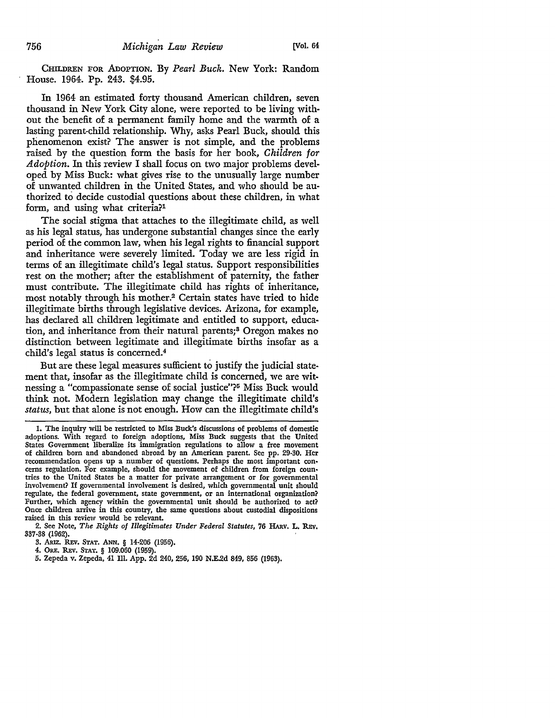CHILDREN FOR ADOPTION. By *Pearl Buck.* New York: Random House. 1964. Pp. 243. \$4.95.

In 1964 an estimated forty thousand American children, seven thousand in New York City alone, were reported to be living without the benefit of a permanent family home and the warmth of a lasting parent-child relationship. Why, asks Pearl Buck, should this phenomenon exist? The answer is not simple, and the problems raised by the question form the basis for her book, *Children for Adoption.* In this review I shall focus on two major problems developed by Miss Buck: what gives rise to the unusually large number of unwanted children in the United States, and who should be authorized to decide custodial questions about these children, in what form, and using what criteria?1

The social stigma that attaches to the illegitimate child, as well as his legal status, has undergone substantial changes since the early period of the common law, when his legal rights to financial support and inheritance were severely limited. Today we are less rigid in terms of an illegitimate child's legal status. Support responsibilities rest on the mother; after the establishment of paternity, the father must contribute. The illegitimate child has rights of inheritance, most notably through his mother.2 Certain states have tried to hide illegitimate births through legislative devices. Arizona, for example, has declared all children legitimate and entitled to support, education, and inheritance from their natural parents;<sup>8</sup> Oregon makes no distinction between legitimate and illegitimate births insofar as a child's legal status is concerned. <sup>4</sup>

But are these legal measures sufficient to justify the judicial statement that, insofar as the illegitimate child is concerned, we are witnessing a "compassionate sense of social justice"?<sup>5</sup> Miss Buck would think not. Modern legislation may change the illegitimate child's *status,* but that alone is not enough. How can the illegitimate child's

2. See Note, *The Rights of Illegitimates Under Federal Statutes*, 76 HARV. L. REV. **837-38 (1962).**

**3.** ARIz. REv. **STAT. ANN.** § 14-206 **(1956).**

4. ORE. R.Ev. **STAT.** § 109.060 (1959).

5. Zepeda v. Zepeda, 41 **Ill.** App. 2d 240, **256, 190** N.E.2d 849, 856 (1963).

**<sup>1.</sup>** The inquiry will be restricted to Miss Buck's discussions of problems of domestic adoptions. With regard to foreign adoptions, Miss Buck suggests that the United States Government liberalize its immigration regulations to allow a free movement of children born and abandoned abroad by an American parent. See **pp. 29-30.** Her recommendation opens up a number of questions. Perhaps the most important concerns regulation. For example, should the movement of children from foreign coun. tries to the United States be a matter for private arrangement or for governmental involvement? If governmental involvement is desired, which governmental unit should regulate, the federal government, state government, or an international organization? Further, which agency within the governmental unit should be authorized to act? Once children arrive in this country, the same questions about custodial dispositions raised in this review would be relevant.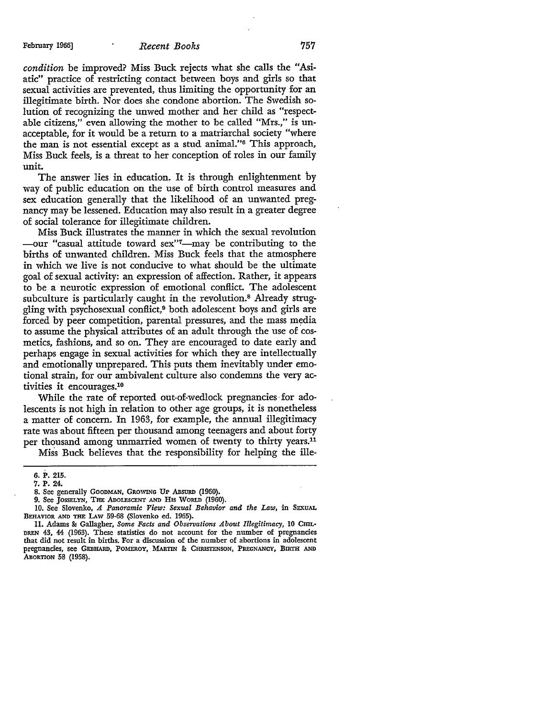*condition* be improved? Miss Buck rejects what she calls the "Asiatic" practice of restricting contact between boys and girls so that sexual activities are prevented, thus limiting the opportunity for an illegitimate birth. Nor does she condone abortion. The Swedish solution of recognizing the unwed mother and her child as "respectable citizens," even allowing the mother to be called "Mrs.," is unacceptable, for it would be a return to a matriarchal society "where the man is not essential except as a stud animal."6 This approach, Miss Buck feels, is a threat to her conception of roles in our family unit.

The answer lies in education. It is through enlightenment by way of public education on the use of birth control measures and sex education generally that the likelihood of an unwanted pregnancy may be lessened. Education may also result in a greater degree of social tolerance for illegitimate children.

Miss Buck illustrates the manner in which the sexual revolution -our "casual attitude toward sex"<sup>7</sup>-may be contributing to the births of unwanted children. Miss Buck feels that the atmosphere in which we live is not conducive to what should be the ultimate goal of sexual activity: an expression of affection. Rather, it appears to be a neurotic expression of emotional conflict. The adolescent subculture is particularly caught in the revolution.<sup>8</sup> Already struggling with psychosexual conflict,9 both adolescent boys and girls are forced by peer competition, parental pressures, and the mass media to assume the physical attributes of an adult through the use of cosmetics, fashions, and so on. They are encouraged to date early and perhaps engage in sexual activities for which they are intellectually and emotionally unprepared. This puts them inevitably under emotional strain, for our ambivalent culture also condemns the very activities it encourages. <sup>10</sup>

While the rate of reported out-of-wedlock pregnancies for adolescents is not high in relation to other age groups, it is nonetheless a matter of concern. In 1963, for example, the annual illegitimacy rate was about fifteen per thousand among teenagers and about forty per thousand among unmarried women of twenty to thirty years.<sup>11</sup>

Miss Buck believes that the responsibility for helping the ille-

**<sup>6.</sup>** P. **215.**

<sup>7.</sup> P. 24.

**<sup>8.</sup>** See generally **GOODMAN, GROWING Up ABsURD (1960).**

**<sup>9.</sup>** See **JOSSELYN,** THE **ADOLESCENT AND HIs** WORLD (1960).

<sup>10.</sup> See Slovenko, *A Panoramic View: Sexual Behavior and the Law,* in SEXuAL BEHAVIOR **AND THE LAW** 59-68 (Slovenko ed. 1965).

<sup>11.</sup> Adams **&** Gallagher, *Some Facts and Observations About Illegitimacy,* 10 **CmL-DR** 43, 44 **(1963).** These statistics do not account for the number of pregnancies that did not result in births. For a discussion of the number of abortions in adolescent pregnancies, see GEHARD, POMEROY, MARTIN **& CHRISTENSON,** PREGNANCY, BIRTH **AND** ABORTION **58** (1958).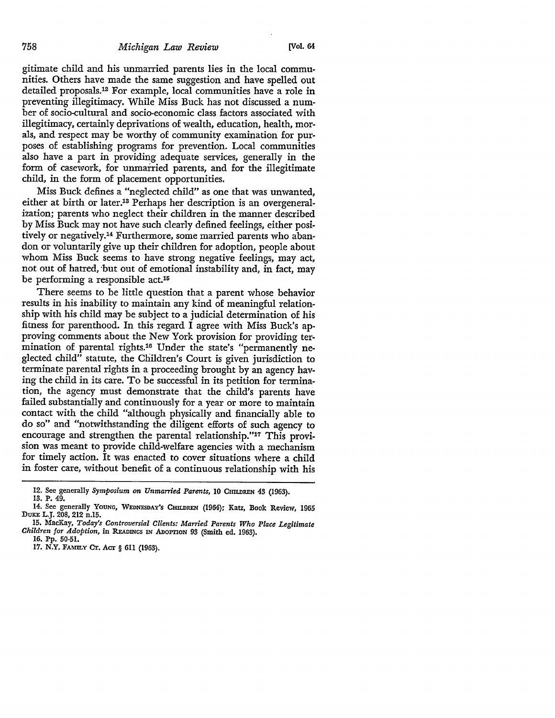gitimate child and his unmarried parents lies in the local communities. Others have made the same suggestion and have spelled out detailed proposals.<sup>12</sup> For example, local communities have a role in preventing illegitimacy. While Miss Buck has not discussed a number of socio-cultural and socio-economic class factors associated with illegitimacy, certainly deprivations of wealth, education, health, morals, and respect may be worthy of community examination for purposes of establishing programs for prevention. Local communities also have a part in providing adequate services, generally in the form of casework, for unmarried parents, and for the illegitimate child, in the form of placement opportunities.

Miss Buck defines a "neglected child" as one that was unwanted, either at birth or later.'3 Perhaps her description is an overgeneralization; parents who neglect their children in the manner described by Miss Buck may not have such clearly defined feelings, either positively or negatively.14 Furthermore, some married parents who abandon or voluntarily give up their children for adoption, people about whom Miss Buck seems to have strong negative feelings, may act, not out of hatred, but out of emotional instability and, in fact, may be performing a responsible act.<sup>15</sup>

There seems to be little question that a parent whose behavior results in his inability to maintain any kind of meaningful relationship with his child may be subject to a judicial determination of his fitness for parenthood. In this regard I agree with Miss Buck's approving comments about the New York provision for providing termination of parental rights.<sup>16</sup> Under the state's "permanently neglected child" statute, the Children's Court is given jurisdiction to terminate parental rights in a proceeding brought by an agency having the child in its care. To be successful in its petition for termination, the agency must demonstrate that the child's parents have failed substantially and continuously for a year or more to maintain contact with the child "although physically and financially able to do so" and "notwithstanding the diligent efforts of such agency to encourage and strengthen the parental relationship."<sup>17</sup> This provision was meant to provide child-welfare agencies with a mechanism for timely action. It was enacted to cover situations where a child in foster care, without benefit of a continuous relationship with his

<sup>12.</sup> See generally *Symposium on Unmarried Parents,* **10 CHI.DREN** 43 (1963).

**<sup>13.</sup>** P. 49.

<sup>14.</sup> See generally YOUNG, WEDNESDAY's CHILDREN (1964); Katz, Book Review, 1965 **DUKE** L.J. 208, 212 n.15.

**<sup>15.</sup>** MacKay, *Today's Controversial Clients: Married Parents Who Place Legitimate Children for Adoption,* in READINGS IN ADOPTION 93 (Smith ed. 1963).

<sup>16.</sup> Pp. 50-51.

<sup>17.</sup> N.Y. FAmIY **or.** Acr § 611 (1963).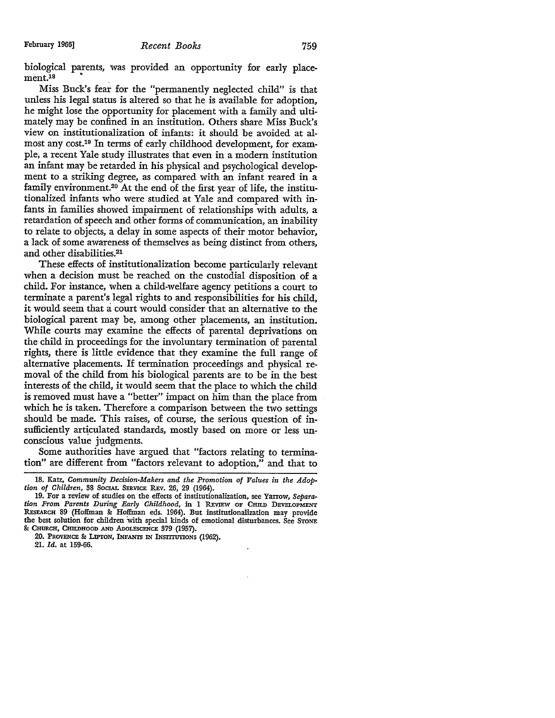biological parents, was provided an opportunity for early placement.<sup>18</sup>

Miss Buck's fear for the "permanently neglected child" is that unless his legal status is altered so that he is available for adoption, he might lose the opportunity for placement with a family and ultimately may be confined in an institution. Others share Miss Buck's view on institutionalization of infants: it should be avoided at almost any cost.19 In terms of early childhood development, for example, a recent Yale study illustrates that even in a modem institution an infant may be retarded in his physical and psychological development to a striking degree, as compared with an infant reared in a family environment.20 At the end of the first year of life, the institutionalized infants who were studied at Yale and compared with infants in families showed impairment of relationships with adults, a retardation of speech and other forms of communication, an inability to relate to objects, a delay in some aspects of their motor behavior, a lack of some awareness of themselves as being distinct from others, and other disabilities.<sup>21</sup>

These effects of institutionalization become particularly relevant when a decision must be reached on the custodial disposition of a child. For instance, when a child-welfare agency petitions a court to terminate a parent's legal rights to and responsibilities for his child, it would seem that a court would consider that an alternative to the biological parent may be, among other placements, an institution. While courts may examine the effects of parental deprivations on the child in proceedings for the involuntary termination of parental rights, there is little evidence that they examine the full range of alternative placements. If termination proceedings and physical removal of the child from his biological parents are to be in the best interests of the child, it would seem that the place to which the child is removed must have a "better" impact on him than the place from which he is taken. Therefore a comparison between the two settings should be made. This raises, of course, the serious question of insufficiently articulated standards, mostly based on more or less unconscious value judgments.

Some authorities have argued that "factors relating to termination" are different from "factors relevant to adoption," and that to

**<sup>18.</sup>** Katz, *Community Decision-Makers and the Promotion of Values in the Adoption of Children, 38 Social SERVICE REV. 26, 29 (1964).* 

**<sup>19.</sup>** For a review of studies on the effects of institutionalization, see Yarrow, *Separa*tion From Parents During Early Childhood, in 1 REVIEW OF CHILD DEVELOPMENT **RESEARCH** 89 (Hoffman **&** Hoffman eds. 1964). But institutionalization may provide the best solution for children with special kinds of emotional disturbances. See STONE & CHURCH, CHILDHOOD AND ADOLESCENCE 379 (1957).

<sup>20.</sup> PROVENCE & LIPTON, INFANTS IN INSTITUTIONS (1962). 21. *Id.* at 159-66.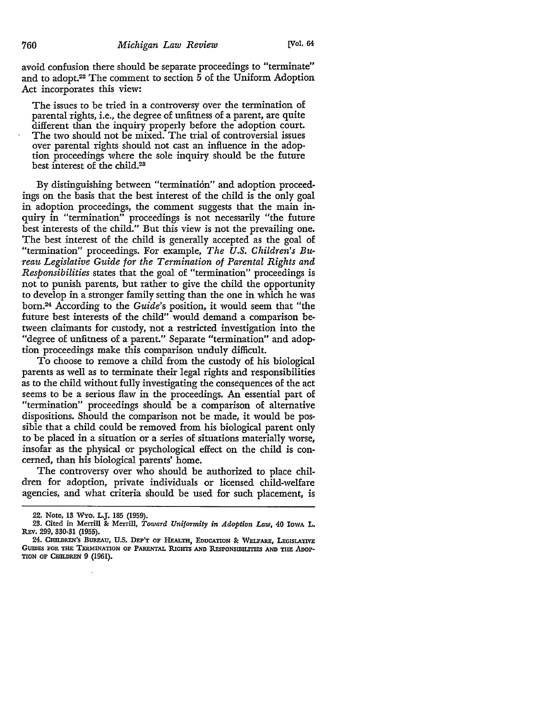avoid confusion there should be separate proceedings to "terminate" and to adopt.<sup>22</sup> The comment to section  $\ddot{5}$  of the Uniform Adoption Act incorporates this view:

The issues to be tried in a controversy over the termination of parental rights, i.e., the degree of unfitness of a parent, are quite different than the inquiry properly before the adoption court. The two should not be mixed. The trial of controversial issues over parental rights should not cast an influence in the adoption proceedings where the sole inquiry should be the future best interest of the child.<sup>23</sup>

By distinguishing between "termination" and adoption proceedings on the basis that the best interest of the child is the only goal in adoption proceedings, the comment suggests that the main inquiry in "termination" proceedings is not necessarily "the future best interests of the child." But this view is not the prevailing one. The best interest of the child is generally accepted as the goal of "termination" proceedings. For example, *The U.S. Children's Bureau Legislative Guide for the Termination of Parental Rights and Responsibilities* states that the goal of "termination" proceedings is not to punish parents, but rather to give the child the opportunity to develop in a stronger family setting than the one in which he was born.24 According to the *Guide's* position, it would seem that "the future best interests of the child" would demand a comparison between claimants for custody, not a restricted investigation into the "degree of unfitness of a parent." Separate "termination" and adoption proceedings make this comparison unduly difficult.

To choose to remove a child from the custody of his biological parents as well as to terminate their legal rights and responsibilities as to the child without fully investigating the consequences of the act seems to be a serious flaw in the proceedings. An essential part of "termination" proceedings should be a comparison of alternative dispositions. Should the comparison not be made, it would be possible that a child could be removed from his biological parent only to be placed in a situation or a series of situations materially worse, insofar as the physical or psychological effect on the child is concerned, than his biological parents' home.

The controversy over who should be authorized to place children for adoption, private individuals or licensed child-welfare agencies, and what criteria should be used for such placement, is

<sup>22.</sup> Note, **13** Wyo. *L..* **185 (1959).**

**<sup>23.</sup>** Cited in Merrill & Merrill, *Toward Uniformity in Adoption Law,* 40 IowA L. REv. **299, 330-31 (1955).**

<sup>24.</sup> CHILDREN'S BUREAU, U.S. DEP'T OF HEALTH, EDUCATION & WELFARE, LEGISLATIVE GUIDES FOR THE TERMINATION OF PARENTAL RIGHTS AND RESPONSIBILITIES AND THE ADOP-**TION OF CHILDREN 9 (1961).**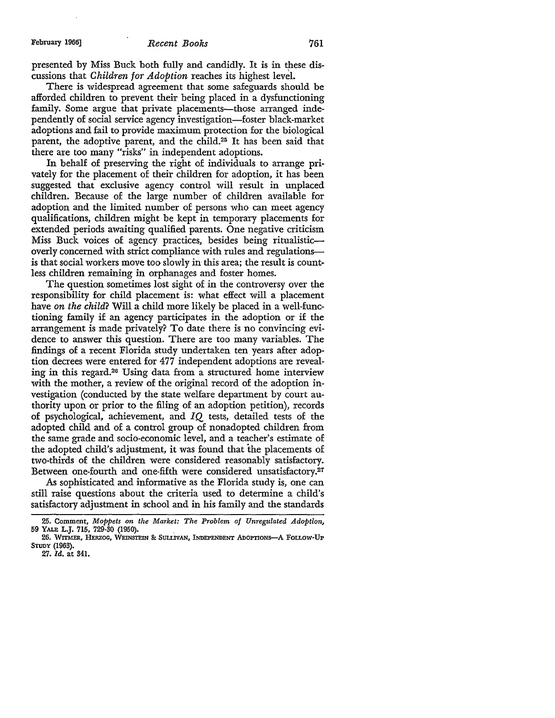#### *Recent Books*

presented by Miss Buck both fully and candidly. It is in these discussions that *Children for Adoption* reaches its highest level.

There is widespread agreement that some safeguards should be afforded children to prevent their being placed in a dysfunctioning family. Some argue that private placements-those arranged independently of social service agency investigation-foster black-market adoptions and fail to provide maximum protection for the biological parent, the adoptive parent, and the child.25 It has been said that there are too many "risks" in independent adoptions.

In behalf of preserving the right of individuals to arrange privately for the placement of their children for adoption, it has been suggested that exclusive agency control will result in unplaced children. Because of the large number of children available for adoption and the limited number of persons who can meet agency qualifications, children might be kept in temporary placements for extended periods awaiting qualified parents. One negative criticism Miss Buck voices of agency practices, besides being ritualisticoverly concerned with strict compliance with rules and regulationsis that social workers move too slowly in this area; the result is countless children remaining in orphanages and foster homes.

The question sometimes lost sight of in the controversy over the responsibility for child placement is: what effect will a placement have *on the child?* Will a child more likely be placed in a well-functioning family if an agency participates in the adoption or if the arrangement is made privately? To date there is no convincing evidence to answer this question. There are too many variables. The findings of a recent Florida study undertaken ten years after adoption decrees were entered for **477** independent adoptions are revealing in this regard.<sup>26</sup> Using data from a structured home interview with the mother, a review of the original record of the adoption investigation (conducted by the state welfare department by court authority upon or prior to the filing of an adoption petition), records of psychological, achievement, and *IQ* tests, detailed tests of the adopted child and of a control group of nonadopted children from the same grade and socio-economic level, and a teacher's estimate of the adopted child's adjustment, it was found that ihe placements of two-thirds of the children were considered reasonably satisfactory. Between one-fourth and one-fifth were considered unsatisfactory.<sup>27</sup>

As sophisticated and informative as the Florida study is, one can still raise questions about the criteria used to determine a child's satisfactory adjustment in school and in his family and the standards

**<sup>25.</sup>** Comment, *Moppets on the Market: The Problem of Unregulated Adoption,* **59** YAM L.J. **715,** 729-30 **(1950).**

<sup>26.</sup> WITMER, HERZOG, WEINSTEIN & SULLIVAN, INDEPENDENT ADOPTIONS-A FOLLOW-UP **STmUY (1963).**

**<sup>27.</sup>** *Id.* at 341.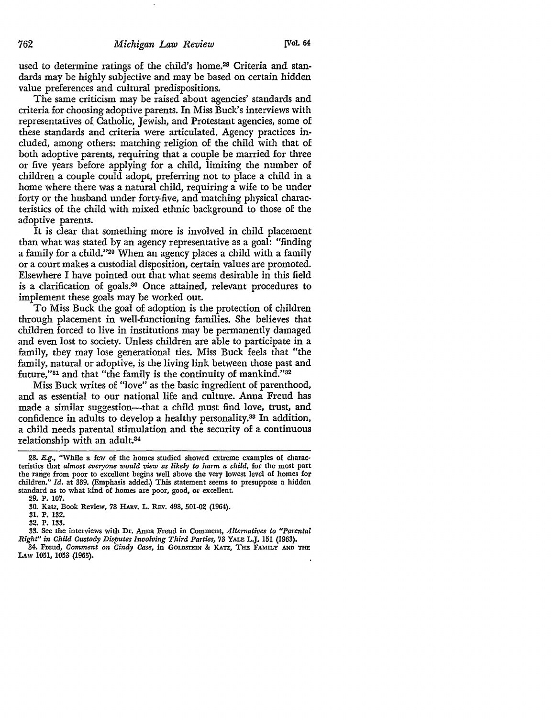used to determine ratings of the child's home.<sup>28</sup> Criteria and standards may be highly subjective and may be based on certain hidden value preferences and cultural predispositions.

The same criticism may be raised about agencies' standards and criteria for choosing adoptive parents. In Miss Buck's interviews with representatives of Catholic, Jewish, and Protestant agencies, some of these standards and criteria were articulated. Agency practices included, among others: matching religion of the child with that of both adoptive parents, requiring that a couple be married for three or five years before applying for a child, limiting the number of children a couple could adopt, preferring not to place a child in a home where there was a natural child, requiring a wife to be under forty or the husband under forty-five, and matching physical characteristics of the child with mixed ethnic background to those of the adoptive parents.

It is clear that something more is involved in child placement than what was stated by an agency representative as a goal: "finding a family for a child."<sup>29</sup> When an agency places a child with a family or a court makes a custodial disposition, certain values are promoted. Elsewhere I have pointed out that what seems desirable in this field is a clarification of goals.<sup>30</sup> Once attained, relevant procedures to implement these goals may be worked out.

To Miss Buck the goal of adoption is the protection of children through placement in well-functioning families. She believes that children forced to live in institutions may be permanently damaged and even lost to society. Unless children are able to participate in a family, they may lose generational ties. Miss Buck feels that "the family, natural or adoptive, is the living link between those past and future,"<sup>81</sup> and that "the family is the continuity of mankind."<sup>82</sup>

Miss Buck writes of "love" as the basic ingredient of parenthood, and as essential to our national life and culture. Anna Freud has made a similar suggestion-that a child must find love, trust, and confidence in adults to develop a healthy personality.<sup>38</sup> In addition, a child needs parental stimulation and the security of a continuous relationship with an adult.34

<sup>28.</sup> *E.g.,* "While a few of the homes studied showed extreme examples of characteristics that *almost everyone would view as likely to harm a child,* for the most part the range from poor to excellent begins well above the very lowest level of homes for children." *Id.* at **339.** (Emphasis added.) This statement seems to presuppose a hidden standard as to what kind of homes are poor, good, or excellent.

<sup>29.</sup> P. 107.

**<sup>30.</sup>** Katz, Book Review, **78** HAv. L. **REv.** 498, **501-02** (1964).

**<sup>31.</sup>** P. **132.**

**<sup>32.</sup>** P. **133.**

**<sup>33.</sup>** See the interviews with Dr. Anna Freud in Comment, *Alternatives to "Parental Right" in Child Custody Disputes Involving Third Parties, 75* YALE **LJ. 151 (1963).**

<sup>34.</sup> Freud, *Comment on Cindy Case*, in GOLDSTEIN & KATZ, THE FAMILY AND THE LAw **1051,** 1055 **(1965).**